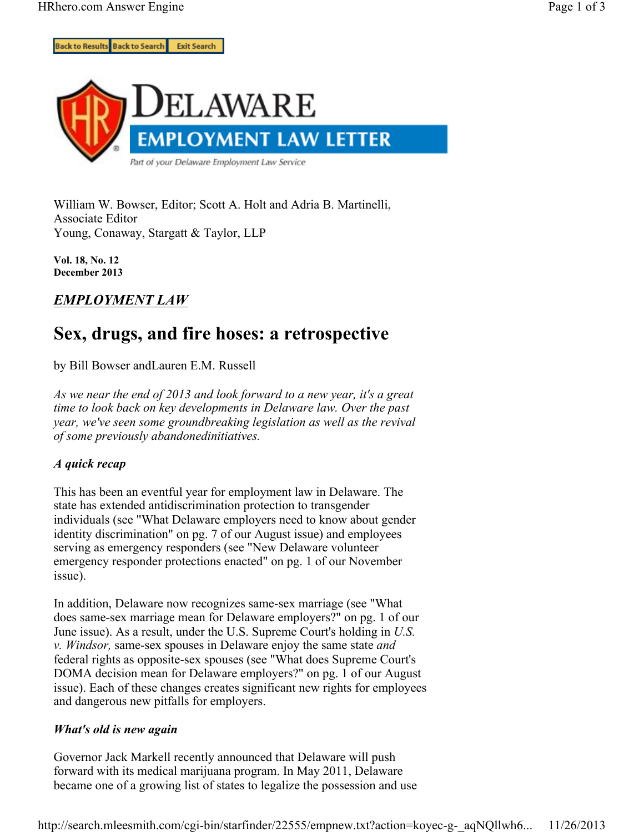

William W. Bowser, Editor; Scott A. Holt and Adria B. Martinelli, Associate Editor Young, Conaway, Stargatt & Taylor, LLP

**Vol. 18, No. 12 December 2013**

## *EMPLOYMENT LAW*

# **Sex, drugs, and fire hoses: a retrospective**

by Bill Bowser andLauren E.M. Russell

*As we near the end of 2013 and look forward to a new year, it's a great time to look back on key developments in Delaware law. Over the past year, we've seen some groundbreaking legislation as well as the revival of some previously abandonedinitiatives.*

### *A quick recap*

This has been an eventful year for employment law in Delaware. The state has extended antidiscrimination protection to transgender individuals (see "What Delaware employers need to know about gender identity discrimination" on pg. 7 of our August issue) and employees serving as emergency responders (see "New Delaware volunteer emergency responder protections enacted" on pg. 1 of our November issue).

In addition, Delaware now recognizes same-sex marriage (see "What does same-sex marriage mean for Delaware employers?" on pg. 1 of our June issue). As a result, under the U.S. Supreme Court's holding in *U.S. v. Windsor,* same-sex spouses in Delaware enjoy the same state *and* federal rights as opposite-sex spouses (see "What does Supreme Court's DOMA decision mean for Delaware employers?" on pg. 1 of our August issue). Each of these changes creates significant new rights for employees and dangerous new pitfalls for employers.

### *What's old is new again*

Governor Jack Markell recently announced that Delaware will push forward with its medical marijuana program. In May 2011, Delaware became one of a growing list of states to legalize the possession and use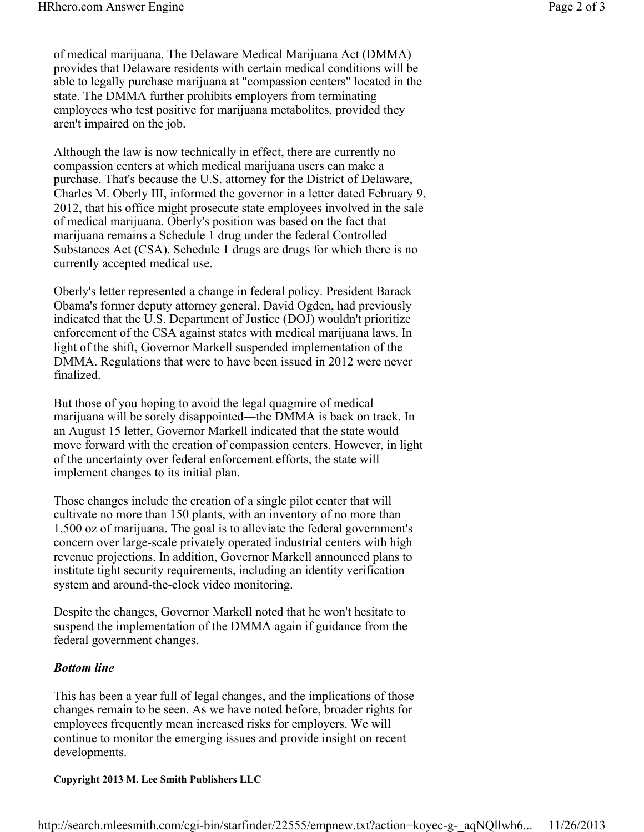of medical marijuana. The Delaware Medical Marijuana Act (DMMA) provides that Delaware residents with certain medical conditions will be able to legally purchase marijuana at "compassion centers" located in the state. The DMMA further prohibits employers from terminating employees who test positive for marijuana metabolites, provided they aren't impaired on the job.

Although the law is now technically in effect, there are currently no compassion centers at which medical marijuana users can make a purchase. That's because the U.S. attorney for the District of Delaware, Charles M. Oberly III, informed the governor in a letter dated February 9, 2012, that his office might prosecute state employees involved in the sale of medical marijuana. Oberly's position was based on the fact that marijuana remains a Schedule 1 drug under the federal Controlled Substances Act (CSA). Schedule 1 drugs are drugs for which there is no currently accepted medical use.

Oberly's letter represented a change in federal policy. President Barack Obama's former deputy attorney general, David Ogden, had previously indicated that the U.S. Department of Justice (DOJ) wouldn't prioritize enforcement of the CSA against states with medical marijuana laws. In light of the shift, Governor Markell suspended implementation of the DMMA. Regulations that were to have been issued in 2012 were never finalized.

But those of you hoping to avoid the legal quagmire of medical marijuana will be sorely disappointed―the DMMA is back on track. In an August 15 letter, Governor Markell indicated that the state would move forward with the creation of compassion centers. However, in light of the uncertainty over federal enforcement efforts, the state will implement changes to its initial plan.

Those changes include the creation of a single pilot center that will cultivate no more than 150 plants, with an inventory of no more than 1,500 oz of marijuana. The goal is to alleviate the federal government's concern over large-scale privately operated industrial centers with high revenue projections. In addition, Governor Markell announced plans to institute tight security requirements, including an identity verification system and around-the-clock video monitoring.

Despite the changes, Governor Markell noted that he won't hesitate to suspend the implementation of the DMMA again if guidance from the federal government changes.

#### *Bottom line*

This has been a year full of legal changes, and the implications of those changes remain to be seen. As we have noted before, broader rights for employees frequently mean increased risks for employers. We will continue to monitor the emerging issues and provide insight on recent developments.

### **Copyright 2013 M. Lee Smith Publishers LLC**